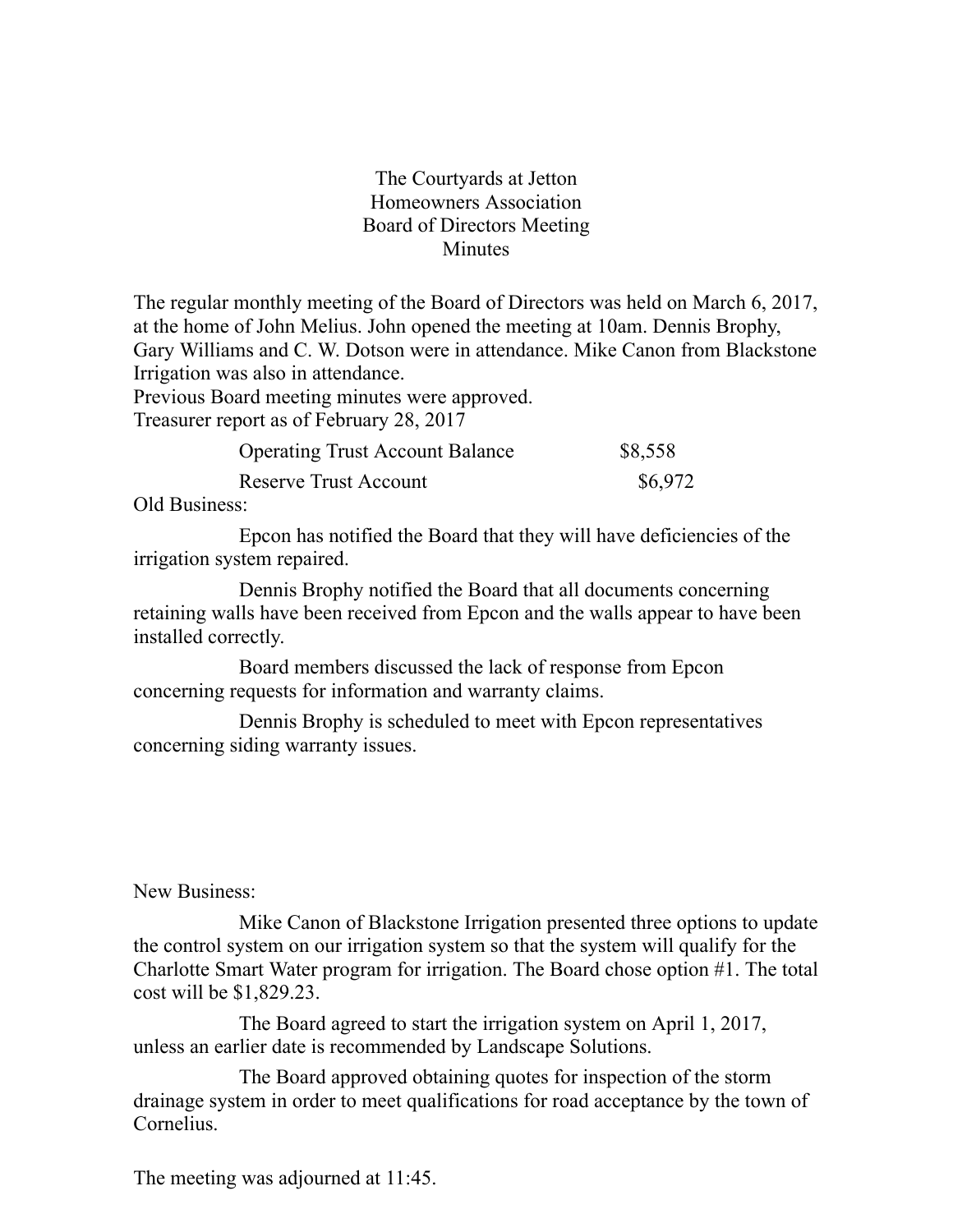## The Courtyards at Jetton Homeowners Association Board of Directors Meeting Minutes

The regular monthly meeting of the Board of Directors was held on March 6, 2017, at the home of John Melius. John opened the meeting at 10am. Dennis Brophy, Gary Williams and C. W. Dotson were in attendance. Mike Canon from Blackstone Irrigation was also in attendance.

Previous Board meeting minutes were approved. Treasurer report as of February 28, 2017

| <b>Operating Trust Account Balance</b> | \$8,558 |
|----------------------------------------|---------|
| <b>Reserve Trust Account</b>           | \$6,972 |

Old Business:

Epcon has notified the Board that they will have deficiencies of the irrigation system repaired.

Dennis Brophy notified the Board that all documents concerning retaining walls have been received from Epcon and the walls appear to have been installed correctly.

Board members discussed the lack of response from Epcon concerning requests for information and warranty claims.

Dennis Brophy is scheduled to meet with Epcon representatives concerning siding warranty issues.

New Business:

Mike Canon of Blackstone Irrigation presented three options to update the control system on our irrigation system so that the system will qualify for the Charlotte Smart Water program for irrigation. The Board chose option #1. The total cost will be \$1,829.23.

The Board agreed to start the irrigation system on April 1, 2017, unless an earlier date is recommended by Landscape Solutions.

The Board approved obtaining quotes for inspection of the storm drainage system in order to meet qualifications for road acceptance by the town of Cornelius.

The meeting was adjourned at 11:45.